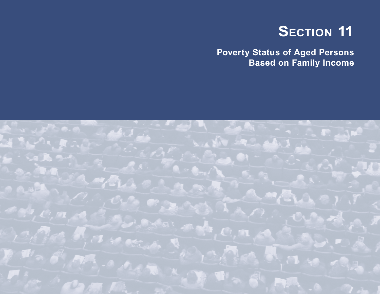# **SECTION 11**

**Poverty Status of Aged Persons Based on Family Income**

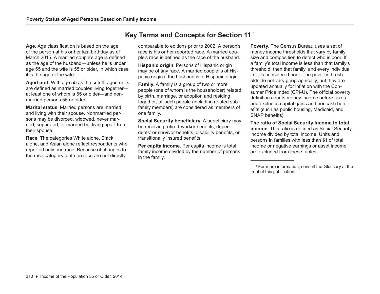**Age**. Age classification is based on the age of the person at his or her last birthday as of March 2015. A married couple's age is defined as the age of the husband—unless he is under age 55 and the wife is 55 or older, in which case it is the age of the wife.

**Aged unit**. With age 55 as the cutoff, aged units are defined as married couples living together at least one of whom is 55 or older—and nonmarried persons 55 or older.

**Marital status**. Married persons are married and living with their spouse. Nonmarried persons may be divorced, widowed, never married, separated, or married but living apart from their spouse.

**Race**. The categories White alone, Black alone, and Asian alone reflect respondents who reported only one race. Because of changes to the race category, data on race are not directly

# **Key Terms and Concepts for Section 11 1**

comparable to editions prior to 2002. A person's race is his or her reported race. A married couple's race is defined as the race of the husband.

**Hispanic origin**. Persons of Hispanic origin may be of any race. A married couple is of Hispanic origin if the husband is of Hispanic origin.

**Family**. A family is a group of two or more people (one of whom is the householder) related by birth, marriage, or adoption and residing together; all such people (including related subfamily members) are considered as members of one family.

**Social Security beneficiary**. A beneficiary may be receiving retired-worker benefits, dependents' or survivor benefits, disability benefits, or transitionally insured benefits.

**Per capita income**. Per capita income is total family income divided by the number of persons in the family.

**Poverty**. The Census Bureau uses a set of money income thresholds that vary by family size and composition to detect who is poor. If a family's total income is less than that family's threshold, then that family, and every individual in it, is considered poor. The poverty thresholds do not vary geographically, but they are updated annually for inflation with the Consumer Price Index (CPI-U). The official poverty definition counts money income before taxes and excludes capital gains and noncash benefits (such as public housing, Medicaid, and SNAP benefits).

**The ratio of Social Security income to total income**. This ratio is defined as Social Security income divided by total income. Units and persons in families with less than \$1 of total income or negative earnings or asset income are excluded from these tables.

<sup>1</sup> For more information, consult the Glossary at the front of this publication.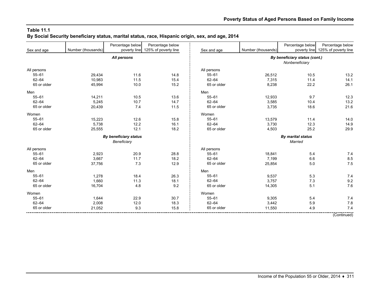#### **Table 11.1 By Social Security beneficiary status, marital status, race, Hispanic origin, sex, and age, 2014**

|             |                    | Percentage below             | Percentage below     |             | Number (thousands) | Percentage below              | Percentage below     |  |
|-------------|--------------------|------------------------------|----------------------|-------------|--------------------|-------------------------------|----------------------|--|
| Sex and age | Number (thousands) | poverty line                 | 125% of poverty line | Sex and age |                    | poverty line                  | 125% of poverty line |  |
|             |                    | All persons                  |                      |             |                    | By beneficiary status (cont.) |                      |  |
|             |                    |                              |                      |             |                    | Nonbeneficiary                |                      |  |
| All persons |                    |                              |                      | All persons |                    |                               |                      |  |
| $55 - 61$   | 29,434             | 11.6                         | 14.8                 | $55 - 61$   | 26,512             | 10.5                          | 13.2                 |  |
| $62 - 64$   | 10,983             | 11.5                         | 15.4                 | $62 - 64$   | 7,315              | 11.4                          | 14.1                 |  |
| 65 or older | 45,994             | 10.0                         | 15.2                 | 65 or older | 8,238              | 22.2                          | 26.1                 |  |
| Men         |                    |                              |                      | Men         |                    |                               |                      |  |
| $55 - 61$   | 14,211             | 10.5                         | 13.6                 | $55 - 61$   | 12,933             | 9.7                           | 12.3                 |  |
| $62 - 64$   | 5,245              | 10.7                         | 14.7                 | $62 - 64$   | 3,585              | 10.4                          | 13.2                 |  |
| 65 or older | 20,439             | 7.4                          | 11.5                 | 65 or older | 3,735              | 18.6                          | 21.6                 |  |
| Women       |                    |                              |                      | Women       |                    |                               |                      |  |
| $55 - 61$   | 15,223             | 12.6                         | 15.8                 | $55 - 61$   | 13,579             | 11.4                          | 14.0                 |  |
| $62 - 64$   | 5,738              | 12.2                         | 16.1                 | $62 - 64$   | 3,730              | 12.3                          | 14.9                 |  |
| 65 or older | 25,555             | 12.1                         | 18.2                 | 65 or older | 4,503              | 25.2                          | 29.9                 |  |
|             |                    | <b>By beneficiary status</b> |                      |             |                    | <b>By marital status</b>      |                      |  |
|             |                    | Beneficiary                  |                      |             | Married            |                               |                      |  |
| All persons |                    |                              |                      | All persons |                    |                               |                      |  |
| $55 - 61$   | 2,923              | 20.9                         | 28.8                 | $55 - 61$   | 18,841             | 5.4                           | 7.4                  |  |
| $62 - 64$   | 3,667              | 11.7                         | 18.2                 | $62 - 64$   | 7,199              | 6.6                           | 8.5                  |  |
| 65 or older | 37,756             | 7.3                          | 12.9                 | 65 or older | 25,854             | 5.0                           | 7.5                  |  |
| Men         |                    |                              |                      | Men         |                    |                               |                      |  |
| $55 - 61$   | 1,278              | 18.4                         | 26.3                 | $55 - 61$   | 9,537              | 5.3                           | 7.4                  |  |
| $62 - 64$   | 1,660              | 11.3                         | 18.1                 | $62 - 64$   | 3,757              | 7.3                           | 9.2                  |  |
| 65 or older | 16,704             | 4.8                          | 9.2                  | 65 or older | 14,305             | 5.1                           | 7.6                  |  |
| Women       |                    |                              |                      | Women       |                    |                               |                      |  |
| $55 - 61$   | 1,644              | 22.9                         | 30.7                 | $55 - 61$   | 9,305              | 5.4                           | 7.4                  |  |
| $62 - 64$   | 2,008              | 12.0                         | 18.3                 | $62 - 64$   | 3,442              | 5.9                           | 7.8                  |  |
| 65 or older | 21,052             | 9.3                          | 15.8                 | 65 or older | 11,550             | 4.9                           | 7.4                  |  |
|             |                    |                              |                      |             |                    |                               |                      |  |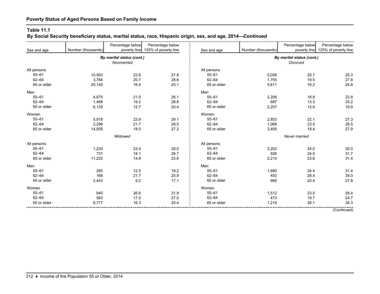## **By Social Security beneficiary status, marital status, race, Hispanic origin, sex, and age, 2014—***Continued*

|             |                    | Percentage below          | Percentage below     |               |                    | Percentage below          | Percentage below     |  |
|-------------|--------------------|---------------------------|----------------------|---------------|--------------------|---------------------------|----------------------|--|
| Sex and age | Number (thousands) | poverty line              | 125% of poverty line | Sex and age   | Number (thousands) | poverty line              | 125% of poverty line |  |
|             |                    | By marital status (cont.) |                      |               |                    | By marital status (cont.) |                      |  |
|             |                    | Nonmarried                |                      |               |                    | <b>Divorced</b>           |                      |  |
| All persons |                    |                           |                      | All persons   |                    |                           |                      |  |
| $55 - 61$   | 10,593             | 22.6                      | 27.8                 | $55 - 61$     | 5,058              | 20.7                      | 25.3                 |  |
| $62 - 64$   | 3,784              | 20.7                      | 28.6                 | $62 - 64$     | 1,755              | 19.5                      | 27.8                 |  |
| 65 or older | 20,140             | 16.4                      | 25.1                 | 65 or older   | 5,611              | 16.2                      | 24.8                 |  |
| Men         |                    |                           |                      | Men           |                    |                           |                      |  |
| $55 - 61$   | 4,675              | 21.0                      | 26.1                 | $55 - 61$     | 2,206              | 18.8                      | 22.8                 |  |
| $62 - 64$   | 1,488              | 19.2                      | 28.8                 | $62 - 64$     | 687                | 13.3                      | 25.2                 |  |
| 65 or older | 6,135              | 12.7                      | 20.4                 | 65 or older   | 2,207              | 12.8                      | 19.9                 |  |
| Women       |                    |                           |                      | Women         |                    |                           |                      |  |
| $55 - 61$   | 5,918              | 23.9                      | 29.1                 | $55 - 61$     | 2,853              | 22.1                      | 27.3                 |  |
| $62 - 64$   | 2,296              | 21.7                      | 28.5                 | $62 - 64$     | 1,068              | 23.5                      | 29.5                 |  |
| 65 or older | 14,005             | 18.0                      | 27.2                 | 65 or older   | 3,405              | 18.4                      | 27.9                 |  |
|             |                    | Widowed                   |                      | Never married |                    |                           |                      |  |
| All persons |                    |                           |                      | All persons   |                    |                           |                      |  |
| $55 - 61$   | 1,220              | 23.4                      | 29.0                 | $55 - 61$     | 3,202              | 24.0                      | 30.0                 |  |
| $62 - 64$   | 731                | 18.1                      | 26.7                 | $62 - 64$     | 926                | 24.0                      | 31.7                 |  |
| 65 or older | 11,220             | 14.8                      | 23.6                 | 65 or older   | 2,214              | 23.6                      | 31.4                 |  |
| Men         |                    |                           |                      | Men           |                    |                           |                      |  |
| $55 - 61$   | 280                | 12.5                      | 19.2                 | $55 - 61$     | 1,690              | 24.4                      | 31.4                 |  |
| $62 - 64$   | 168                | 21.7                      | 25.9                 | $62 - 64$     | 453                | 28.4                      | 39.0                 |  |
| 65 or older | 2,443              | 9.2                       | 17.1                 | 65 or older   | 995                | 20.4                      | 27.8                 |  |
| Women       |                    |                           |                      | Women         |                    |                           |                      |  |
| $55 - 61$   | 940                | 26.6                      | 31.9                 | $55 - 61$     | 1,512              | 23.5                      | 28.4                 |  |
| $62 - 64$   | 563                | 17.0                      | 27.0                 | $62 - 64$     | 473                | 19.7                      | 24.7                 |  |
| 65 or older | 8,777              | 16.3                      | 25.4                 | 65 or older   | 1,219              | 26.1                      | 34.3                 |  |

(Continued)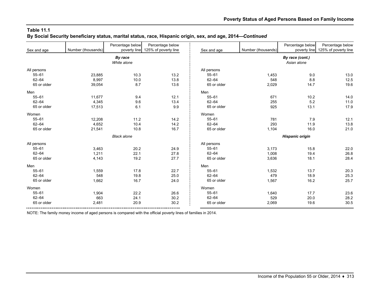#### **Table 11.1 By Social Security beneficiary status, marital status, race, Hispanic origin, sex, and age, 2014—***Continued*

| Sex and age | Number (thousands) | Percentage below<br>poverty line | Percentage below<br>125% of poverty line | Sex and age | Number (thousands)     | Percentage below<br>poverty line | Percentage below<br>125% of poverty line |  |  |
|-------------|--------------------|----------------------------------|------------------------------------------|-------------|------------------------|----------------------------------|------------------------------------------|--|--|
|             |                    | By race<br>White alone           |                                          |             |                        | By race (cont.)<br>Asian alone   |                                          |  |  |
| All persons |                    |                                  |                                          | All persons |                        |                                  |                                          |  |  |
| $55 - 61$   | 23,885             | 10.3                             | 13.2                                     | $55 - 61$   | 1,453                  | 9.0                              | 13.0                                     |  |  |
| $62 - 64$   | 8,997              | 10.0                             | 13.8                                     | $62 - 64$   | 548                    | 8.8                              | 12.5                                     |  |  |
| 65 or older | 39,054             | 8.7                              | 13.6                                     | 65 or older | 2,029                  | 14.7                             | 19.6                                     |  |  |
| Men         |                    |                                  |                                          | Men         |                        |                                  |                                          |  |  |
| $55 - 61$   | 11,677             | 9.4                              | 12.1                                     | $55 - 61$   | 671                    | 10.2                             | 14.0                                     |  |  |
| $62 - 64$   | 4,345              | 9.6                              | 13.4                                     | $62 - 64$   | 255                    | 5.2                              | 11.0                                     |  |  |
| 65 or older | 17,513             | 6.1                              | 9.9                                      | 65 or older | 925                    | 13.1                             | 17.9                                     |  |  |
| Women       |                    |                                  |                                          | Women       |                        |                                  |                                          |  |  |
| $55 - 61$   | 12,208             | 11.2                             | 14.2                                     | $55 - 61$   | 781                    | 79                               | 12.1                                     |  |  |
| $62 - 64$   | 4,652              | 10.4                             | 14.2                                     | $62 - 64$   | 293                    | 11.9                             | 13.8                                     |  |  |
| 65 or older | 21,541             | 10.8                             | 16.7                                     | 65 or older | 1,104                  | 16.0                             | 21.0                                     |  |  |
|             |                    | <b>Black alone</b>               |                                          |             | <b>Hispanic origin</b> |                                  |                                          |  |  |
| All persons |                    |                                  |                                          | All persons |                        |                                  |                                          |  |  |
| $55 - 61$   | 3,463              | 20.2                             | 24.9                                     | $55 - 61$   | 3,173                  | 15.8                             | 22.0                                     |  |  |
| $62 - 64$   | 1,211              | 22.1                             | 27.8                                     | $62 - 64$   | 1,008                  | 19.4                             | 26.8                                     |  |  |
| 65 or older | 4,143              | 19.2                             | 27.7                                     | 65 or older | 3,636                  | 18.1                             | 28.4                                     |  |  |
| Men         |                    |                                  |                                          | Men         |                        |                                  |                                          |  |  |
| $55 - 61$   | 1,559              | 17.8                             | 22.7                                     | $55 - 61$   | 1,532                  | 13.7                             | 20.3                                     |  |  |
| $62 - 64$   | 548                | 19.8                             | 25.0                                     | $62 - 64$   | 479                    | 18.9                             | 25.3                                     |  |  |
| 65 or older | 1,662              | 16.7                             | 24.0                                     | 65 or older | 1,567                  | 16.2                             | 25.7                                     |  |  |
| Women       |                    |                                  |                                          | Women       |                        |                                  |                                          |  |  |
| $55 - 61$   | 1,904              | 22.2                             | 26.6                                     | $55 - 61$   | 1,640                  | 17.7                             | 23.6                                     |  |  |
| $62 - 64$   | 663                | 24.1                             | 30.2                                     | $62 - 64$   | 529                    | 20.0                             | 28.2                                     |  |  |
| 65 or older | 2,481              | 20.9                             | 30.2                                     | 65 or older | 2,069                  | 19.6                             | 30.5                                     |  |  |

NOTE: The family money income of aged persons is compared with the official poverty lines of families in 2014.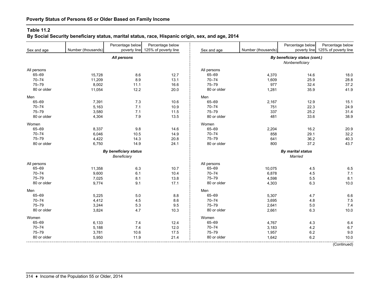# **By Social Security beneficiary status, marital status, race, Hispanic origin, sex, and age, 2014**

|             |                    | Percentage below             | Percentage below     |             |                    | Percentage below              | Percentage below                  |
|-------------|--------------------|------------------------------|----------------------|-------------|--------------------|-------------------------------|-----------------------------------|
| Sex and age | Number (thousands) | poverty line                 | 125% of poverty line | Sex and age | Number (thousands) |                               | poverty line 125% of poverty line |
|             |                    | All persons                  |                      |             |                    | By beneficiary status (cont.) |                                   |
|             |                    |                              |                      |             |                    | Nonbeneficiary                |                                   |
| All persons |                    |                              |                      | All persons |                    |                               |                                   |
| 65-69       | 15,728             | 8.6                          | 12.7                 | 65-69       | 4,370              | 14.6                          | 18.0                              |
| $70 - 74$   | 11,209             | 8.9                          | 13.1                 | $70 - 74$   | 1,609              | 25.9                          | 28.8                              |
| $75 - 79$   | 8,002              | 11.1                         | 16.6                 | $75 - 79$   | 977                | 32.4                          | 37.2                              |
| 80 or older | 11,054             | 12.2                         | 20.0                 | 80 or older | 1,281              | 35.9                          | 41.9                              |
| Men         |                    |                              |                      | Men         |                    |                               |                                   |
| 65-69       | 7,391              | 7.3                          | 10.6                 | 65-69       | 2,167              | 12.9                          | 15.1                              |
| $70 - 74$   | 5,163              | 7.1                          | 10.9                 | $70 - 74$   | 751                | 22.3                          | 24.9                              |
| $75 - 79$   | 3,580              | 7.1                          | 11.5                 | $75 - 79$   | 337                | 25.2                          | 31.4                              |
| 80 or older | 4,304              | 7.9                          | 13.5                 | 80 or older | 481                | 33.6                          | 38.9                              |
| Women       |                    |                              |                      | Women       |                    |                               |                                   |
| 65-69       | 8,337              | 9.8                          | 14.6                 | 65-69       | 2,204              | 16.2                          | 20.9                              |
| $70 - 74$   | 6,046              | 10.5                         | 14.9                 | $70 - 74$   | 858                | 29.1                          | 32.2                              |
| $75 - 79$   | 4,422              | 14.3                         | 20.8                 | $75 - 79$   | 641                | 36.2                          | 40.3                              |
| 80 or older | 6,750              | 14.9                         | 24.1                 | 80 or older | 800                | 37.2                          | 43.7                              |
|             |                    | <b>By beneficiary status</b> |                      |             |                    | <b>By marital status</b>      |                                   |
|             |                    | Beneficiary                  |                      |             |                    | Married                       |                                   |
| All persons |                    |                              |                      | All persons |                    |                               |                                   |
| 65-69       | 11,358             | 6.3                          | 10.7                 | 65-69       | 10,075             | 4.5                           | 6.5                               |
| $70 - 74$   | 9,600              | 6.1                          | 10.4                 | $70 - 74$   | 6,878              | 4.5                           | 7.1                               |
| $75 - 79$   | 7,025              | 8.1                          | 13.8                 | $75 - 79$   | 4,598              | 5.5                           | 8.1                               |
| 80 or older | 9,774              | 9.1                          | 17.1                 | 80 or older | 4,303              | 6.3                           | 10.0                              |
| Men         |                    |                              |                      | Men         |                    |                               |                                   |
| 65-69       | 5,225              | 5.0                          | 8.8                  | 65-69       | 5,307              | 4.7                           | 6.6                               |
| $70 - 74$   | 4,412              | 4.5                          | 8.6                  | $70 - 74$   | 3,695              | 4.8                           | 7.5                               |
| $75 - 79$   | 3,244              | 5.3                          | 9.5                  | $75 - 79$   | 2,641              | 5.0                           | 7.4                               |
| 80 or older | 3,824              | 4.7                          | 10.3                 | 80 or older | 2,661              | 6.3                           | 10.0                              |
| Women       |                    |                              |                      | Women       |                    |                               |                                   |
| 65-69       | 6,133              | 7.4                          | 12.4                 | 65-69       | 4,767              | 4.3                           | 6.4                               |
| $70 - 74$   | 5,188              | 7.4                          | 12.0                 | $70 - 74$   | 3,183              | 4.2                           | 6.7                               |
| $75 - 79$   | 3,781              | 10.6                         | 17.5                 | $75 - 79$   | 1,957              | 6.2                           | 9.0                               |
| 80 or older | 5,950              | 11.9                         | 21.4                 | 80 or older | 1,642              | 6.2                           | 10.0                              |
|             |                    |                              |                      |             |                    |                               | (Continued)                       |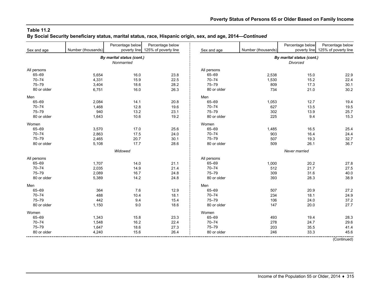#### **Table 11.2 By Social Security beneficiary status, marital status, race, Hispanic origin, sex, and age, 2014—***Continued*

|             |                    | Percentage below          | Percentage below     |             |                    | Percentage below          | Percentage below                  |
|-------------|--------------------|---------------------------|----------------------|-------------|--------------------|---------------------------|-----------------------------------|
| Sex and age | Number (thousands) | poverty line              | 125% of poverty line | Sex and age | Number (thousands) |                           | poverty line 125% of poverty line |
|             |                    | By marital status (cont.) |                      |             |                    | By marital status (cont.) |                                   |
|             |                    | Nonmarried                |                      |             |                    | Divorced                  |                                   |
| All persons |                    |                           |                      | All persons |                    |                           |                                   |
| 65-69       | 5,654              | 16.0                      | 23.8                 | 65-69       | 2,538              | 15.0                      | 22.9                              |
| $70 - 74$   | 4,331              | 15.9                      | 22.5                 | $70 - 74$   | 1,530              | 15.2                      | 22.4                              |
| $75 - 79$   | 3,404              | 18.6                      | 28.2                 | $75 - 79$   | 809                | 17.3                      | 30.1                              |
| 80 or older | 6,751              | 16.0                      | 26.3                 | 80 or older | 734                | 21.0                      | 30.2                              |
| Men         |                    |                           |                      | Men         |                    |                           |                                   |
| 65-69       | 2,084              | 14.1                      | 20.8                 | 65-69       | 1,053              | 12.7                      | 19.4                              |
| $70 - 74$   | 1,468              | 12.8                      | 19.6                 | $70 - 74$   | 627                | 13.5                      | 19.5                              |
| $75 - 79$   | 940                | 13.2                      | 23.1                 | $75 - 79$   | 302                | 13.9                      | 25.7                              |
| 80 or older | 1,643              | 10.6                      | 19.2                 | 80 or older | 225                | 9.4                       | 15.3                              |
| Women       |                    |                           |                      | Women       |                    |                           |                                   |
| 65-69       | 3,570              | 17.0                      | 25.6                 | 65-69       | 1,485              | 16.5                      | 25.4                              |
| $70 - 74$   | 2,863              | 17.5                      | 24.0                 | $70 - 74$   | 903                | 16.4                      | 24.4                              |
| $75 - 79$   | 2,465              | 20.7                      | 30.1                 | $75 - 79$   | 507                | 19.3                      | 32.7                              |
| 80 or older | 5,108              | 17.7                      | 28.6                 | 80 or older | 509                | 26.1                      | 36.7                              |
|             |                    | Widowed                   |                      |             |                    | Never married             |                                   |
| All persons |                    |                           |                      | All persons |                    |                           |                                   |
| 65-69       | 1,707              | 14.0                      | 21.1                 | 65-69       | 1,000              | 20.2                      | 27.8                              |
| $70 - 74$   | 2,035              | 14.9                      | 21.4                 | $70 - 74$   | 512                | 21.7                      | 27.5                              |
| $75 - 79$   | 2,089              | 16.7                      | 24.8                 | $75 - 79$   | 309                | 31.6                      | 40.0                              |
| 80 or older | 5,389              | 14.2                      | 24.8                 | 80 or older | 393                | 28.3                      | 38.9                              |
| Men         |                    |                           |                      | Men         |                    |                           |                                   |
| 65-69       | 364                | 7.6                       | 12.9                 | 65-69       | 507                | 20.9                      | 27.2                              |
| $70 - 74$   | 488                | 10.4                      | 18.1                 | $70 - 74$   | 234                | 18.1                      | 24.9                              |
| 75-79       | 442                | 9.4                       | 15.4                 | $75 - 79$   | 106                | 24.0                      | 37.2                              |
| 80 or older | 1,150              | 9.0                       | 18.6                 | 80 or older | 147                | 20.0                      | 27.7                              |
| Women       |                    |                           |                      | Women       |                    |                           |                                   |
| 65-69       | 1,343              | 15.8                      | 23.3                 | 65-69       | 493                | 19.4                      | 28.3                              |
| $70 - 74$   | 1,548              | 16.2                      | 22.4                 | $70 - 74$   | 278                | 24.7                      | 29.6                              |
| $75 - 79$   | 1,647              | 18.6                      | 27.3                 | $75 - 79$   | 203                | 35.5                      | 41.4                              |
| 80 or older | 4,240              | 15.6                      | 26.4                 | 80 or older | 246                | 33.3                      | 45.6                              |
|             |                    |                           |                      |             |                    |                           | (Continued)                       |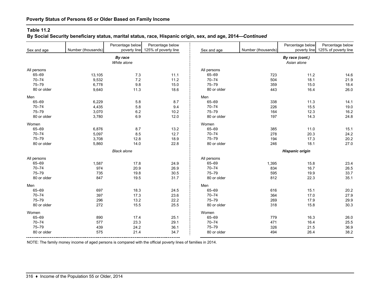### **By Social Security beneficiary status, marital status, race, Hispanic origin, sex, and age, 2014—***Continued*

| Sex and age | Number (thousands) | Percentage below<br>poverty line | Percentage below<br>125% of poverty line | Sex and age            | Number (thousands) | Percentage below<br>poverty line | Percentage below<br>125% of poverty line |  |
|-------------|--------------------|----------------------------------|------------------------------------------|------------------------|--------------------|----------------------------------|------------------------------------------|--|
|             |                    | By race<br>White alone           |                                          |                        |                    | By race (cont.)<br>Asian alone   |                                          |  |
| All persons |                    |                                  |                                          | All persons            |                    |                                  |                                          |  |
| 65-69       | 13,105             | 7.3                              | 11.1                                     | 65-69                  | 723                | 11.2                             | 14.6                                     |  |
| $70 - 74$   | 9,532              | 7.2                              | 11.2                                     | $70 - 74$              | 504                | 18.1                             | 21.9                                     |  |
| $75 - 79$   | 6,778              | 9.8                              | 15.0                                     | $75 - 79$              | 359                | 15.0                             | 18.4                                     |  |
| 80 or older | 9,640              | 11.3                             | 18.6                                     | 80 or older            | 443                | 16.4                             | 26.0                                     |  |
| Men         |                    |                                  |                                          | Men                    |                    |                                  |                                          |  |
| 65-69       | 6,229              | $5.8\,$                          | 8.7                                      | 65-69                  | 338                | 11.3                             | 14.1                                     |  |
| $70 - 74$   | 4,435              | 5.8                              | 9.4                                      | $70 - 74$              | 226                | 15.5                             | 19.0                                     |  |
| 75-79       | 3,070              | $6.2\,$                          | 10.2                                     | $75 - 79$              | 164                | 12.3                             | 16.2                                     |  |
| 80 or older | 3,780              | 6.9                              | 12.0                                     | 80 or older            | 197                | 14.3                             | 24.8                                     |  |
| Women       |                    |                                  |                                          | Women                  |                    |                                  |                                          |  |
| 65-69       | 6,876              | 8.7                              | 13.2                                     | 65-69                  | 385                | 11.0                             | 15.1                                     |  |
| $70 - 74$   | 5,097              | 8.5                              | 12.7                                     | $70 - 74$              | 278                | 20.3                             | 24.2                                     |  |
| 75-79       | 3,708              | 12.8                             | 18.9                                     | $75 - 79$              | 194                | 17.3                             | 20.2                                     |  |
| 80 or older | 5,860              | 14.0                             | 22.8                                     | 80 or older            | 246                | 18.1                             | 27.0                                     |  |
|             |                    | <b>Black alone</b>               |                                          | <b>Hispanic origin</b> |                    |                                  |                                          |  |
| All persons |                    |                                  |                                          | All persons            |                    |                                  |                                          |  |
| 65-69       | 1,587              | 17.8                             | 24.9                                     | 65-69                  | 1,395              | 15.8                             | 23.4                                     |  |
| $70 - 74$   | 974                | 20.9                             | 26.9                                     | $70 - 74$              | 834                | 16.7                             | 26.5                                     |  |
| 75-79       | 735                | 19.8                             | 30.5                                     | $75 - 79$              | 595                | 19.9                             | 33.7                                     |  |
| 80 or older | 847                | 19.5                             | 31.7                                     | 80 or older            | 812                | 22.3                             | 35.1                                     |  |
| Men         |                    |                                  |                                          | Men                    |                    |                                  |                                          |  |
| 65-69       | 697                | 18.3                             | 24.5                                     | 65-69                  | 616                | 15.1                             | 20.2                                     |  |
| $70 - 74$   | 397                | 17.3                             | 23.6                                     | $70 - 74$              | 364                | 17.0                             | 27.9                                     |  |
| $75 - 79$   | 296                | 13.2                             | 22.2                                     | $75 - 79$              | 269                | 17.9                             | 29.9                                     |  |
| 80 or older | 272                | 15.5                             | 25.5                                     | 80 or older            | 318                | 15.8                             | 30.3                                     |  |
| Women       |                    |                                  |                                          | Women                  |                    |                                  |                                          |  |
| 65-69       | 890                | 17.4                             | 25.1                                     | 65-69                  | 779                | 16.3                             | 26.0                                     |  |
| $70 - 74$   | 577                | 23.3                             | 29.1                                     | $70 - 74$              | 471                | 16.4                             | 25.5                                     |  |
| $75 - 79$   | 439                | 24.2                             | 36.1                                     | $75 - 79$              | 326                | 21.5                             | 36.9                                     |  |
| 80 or older | 575                | 21.4                             | 34.7                                     | 80 or older            | 494                | 26.4                             | 38.2                                     |  |

NOTE: The family money income of aged persons is compared with the official poverty lines of families in 2014.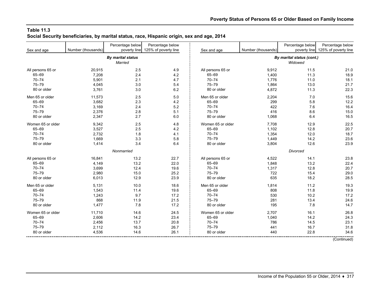#### **Table 11.3 Social Security beneficiaries, by marital status, race, Hispanic origin, sex and age, 2014**

|                   |                    | Percentage below         | Percentage below     |                   |                    | Percentage below          | Percentage below     |
|-------------------|--------------------|--------------------------|----------------------|-------------------|--------------------|---------------------------|----------------------|
| Sex and age       | Number (thousands) | poverty line             | 125% of poverty line | Sex and age       | Number (thousands) | poverty line              | 125% of poverty line |
|                   |                    | <b>By marital status</b> |                      |                   |                    | By marital status (cont.) |                      |
|                   |                    | <b>Married</b>           |                      |                   |                    | Widowed                   |                      |
|                   |                    |                          |                      |                   |                    |                           |                      |
| All persons 65 or | 20,915             | 2.5                      | 4.9                  | All persons 65 or | 9,912              | 11.5                      | 21.0                 |
| 65-69             | 7,208              | 2.4                      | 4.2                  | 65-69             | 1,400              | 11.3                      | 18.9                 |
| $70 - 74$         | 5,901              | 2.1                      | 4.7                  | $70 - 74$         | 1,776              | 11.0                      | 18.1                 |
| $75 - 79$         | 4,045              | 3.0                      | 5.4                  | $75 - 79$         | 1,864              | 13.0                      | 21.7                 |
| 80 or older       | 3,761              | 3.0                      | 6.2                  | 80 or older       | 4,872              | 11.3                      | 22.3                 |
| Men 65 or older   | 11,573             | 2.5                      | 5.0                  | Men 65 or older   | 2,204              | 7.0                       | 15.6                 |
| 65-69             | 3,682              | 2.3                      | 4.2                  | 65-69             | 299                | 5.8                       | 12.2                 |
| $70 - 74$         | 3,169              | 2.4                      | 5.2                  | $70 - 74$         | 422                | 7.6                       | 16.4                 |
| $75 - 79$         | 2,376              | 2.8                      | 5.1                  | $75 - 79$         | 416                | 8.6                       | 15.0                 |
| 80 or older       | 2,347              | 2.7                      | 6.0                  | 80 or older       | 1,068              | 6.4                       | 16.5                 |
| Women 65 or older | 9,342              | 2.5                      | 4.8                  | Women 65 or older | 7.708              | 12.9                      | 22.5                 |
| 65-69             | 3,527              | 2.5                      | 4.2                  | 65-69             | 1,102              | 12.8                      | 20.7                 |
| $70 - 74$         | 2,732              | 1.8                      | 4.1                  | $70 - 74$         | 1,354              | 12.0                      | 18.7                 |
| $75 - 79$         | 1,669              | 3.3                      | 5.8                  | $75 - 79$         | 1,449              | 14.2                      | 23.6                 |
| 80 or older       | 1,414              | 3.4                      | 6.4                  | 80 or older       | 3,804              | 12.6                      | 23.9                 |
|                   |                    | Nonmarried               |                      |                   |                    | Divorced                  |                      |
| All persons 65 or | 16,841             | 13.2                     | 22.7                 | All persons 65 or | 4,522              | 14.1                      | 23.8                 |
| 65-69             | 4,149              | 13.2                     | 22.0                 | 65-69             | 1,848              | 13.2                      | 22.4                 |
| $70 - 74$         |                    | 12.4                     | 19.6                 | $70 - 74$         |                    | 12.8                      | 20.7                 |
| $75 - 79$         | 3,699              |                          |                      | $75 - 79$         | 1,317              |                           |                      |
|                   | 2,980              | 15.0                     | 25.2                 |                   | 722                | 15.4                      | 29.0                 |
| 80 or older       | 6,013              | 12.9                     | 23.9                 | 80 or older       | 635                | 18.2                      | 28.5                 |
| Men 65 or older   | 5,131              | 10.0                     | 18.6                 | Men 65 or older   | 1,814              | 11.2                      | 19.3                 |
| 65-69             | 1,543              | 11.4                     | 19.6                 | 65-69             | 808                | 11.8                      | 19.9                 |
| $70 - 74$         | 1,243              | 9.7                      | 17.2                 | $70 - 74$         | 530                | 10.2                      | 17.2                 |
| $75 - 79$         | 868                | 11.9                     | 21.5                 | $75 - 79$         | 281                | 13.4                      | 24.6                 |
| 80 or older       | 1,477              | 7.8                      | 17.2                 | 80 or older       | 195                | 7.8                       | 14.7                 |
| Women 65 or older | 11,710             | 14.6                     | 24.5                 | Women 65 or older | 2,707              | 16.1                      | 26.8                 |
| 65-69             | 2,606              | 14.2                     | 23.4                 | 65-69             | 1,040              | 14.2                      | 24.3                 |
| $70 - 74$         | 2,456              | 13.7                     | 20.8                 | $70 - 74$         | 786                | 14.5                      | 23.1                 |
| $75 - 79$         | 2,112              | 16.3                     | 26.7                 | $75 - 79$         | 441                | 16.7                      | 31.8                 |
| 80 or older       | 4,536              | 14.6                     | 26.1                 | 80 or older       | 440                | 22.8                      | 34.6                 |
|                   |                    |                          |                      |                   |                    |                           | (Continued)          |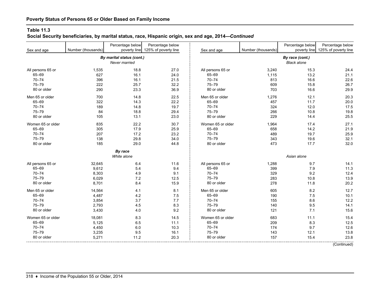**Social Security beneficiaries, by marital status, race, Hispanic origin, sex and age, 2014—***Continued*

|                   |                    | Percentage below          | Percentage below     |                   |                    | Percentage below   | Percentage below     |
|-------------------|--------------------|---------------------------|----------------------|-------------------|--------------------|--------------------|----------------------|
| Sex and age       | Number (thousands) | poverty line              | 125% of poverty line | Sex and age       | Number (thousands) | poverty line       | 125% of poverty line |
|                   |                    | By marital status (cont.) |                      |                   |                    | By race (cont.)    |                      |
|                   |                    | Never married             |                      |                   |                    | <b>Black alone</b> |                      |
|                   |                    |                           |                      |                   |                    |                    |                      |
| All persons 65 or | 1,535              | 18.8                      | 27.0                 | All persons 65 or | 3,240              | 15.3               | 24.4                 |
| 65-69             | 627                | 16.1                      | 24.0                 | 65-69             | 1,115              | 13.2               | 21.1                 |
| $70 - 74$         | 396                | 16.1                      | 21.5                 | $70 - 74$         | 813                | 16.6               | 22.6                 |
| 75-79             | 222                | 25.7                      | 32.2                 | $75 - 79$         | 609                | 15.8               | 26.7                 |
| 80 or older       | 290                | 23.3                      | 36.9                 | 80 or older       | 703                | 16.6               | 29.9                 |
| Men 65 or older   | 700                | 14.8                      | 22.5                 | Men 65 or older   | 1,276              | 12.1               | 20.3                 |
| 65-69             | 322                | 14.3                      | 22.2                 | 65-69             | 457                | 11.7               | 20.0                 |
| $70 - 74$         | 189                | 14.8                      | 19.7                 | $70 - 74$         | 324                | 12.0               | 17.5                 |
| $75 - 79$         | 84                 | 18.8                      | 29.4                 | $75 - 79$         | 266                | 10.8               | 19.8                 |
| 80 or older       | 105                | 13.1                      | 23.0                 | 80 or older       | 229                | 14.4               | 25.5                 |
| Women 65 or older | 835                | 22.2                      | 30.7                 | Women 65 or older | 1,964              | 17.4               | 27.1                 |
| 65-69             | 305                | 17.9                      | 25.9                 | 65-69             | 658                | 14.2               | 21.9                 |
| $70 - 74$         | 207                | 17.2                      | 23.2                 | $70 - 74$         | 489                | 19.7               | 25.9                 |
| 75-79             | 138                | 29.8                      | 34.0                 | $75 - 79$         | 343                | 19.6               | 32.1                 |
| 80 or older       | 185                | 29.0                      | 44.8                 | 80 or older       | 473                | 17.7               | 32.0                 |
|                   |                    | By race                   |                      |                   |                    |                    |                      |
|                   |                    | White alone               |                      |                   |                    | Asian alone        |                      |
| All persons 65 or | 32,645             | 6.4                       | 11.6                 | All persons 65 or | 1,288              | 9.7                | 14.1                 |
| 65-69             | 9,612              | 5.4                       | 9.4                  | $65 - 69$         | 399                | 7.9                | 11.3                 |
| $70 - 74$         | 8,303              | 4.9                       | 9.1                  | $70 - 74$         | 329                | 9.2                | 12.4                 |
| $75 - 79$         | 6,029              | 7.2                       | 12.5                 | $75 - 79$         | 283                | 10.8               | 13.9                 |
| 80 or older       | 8,701              | 8.4                       | 15.9                 | 80 or older       | 278                | 11.8               | 20.2                 |
| Men 65 or older   | 14,564             | 4.1                       | 8.1                  | Men 65 or older   | 605                | 8.2                | 12.7                 |
| 65-69             | 4,487              | 4.2                       | 7.5                  | 65-69             | 190                | 7.5                | 10.1                 |
| $70 - 74$         | 3,854              | 3.7                       | 7.7                  | $70 - 74$         | 155                | 8.6                | 12.2                 |
| $75 - 79$         | 2,793              | 4.5                       | 8.3                  | $75 - 79$         | 140                | 9.5                | 14.1                 |
| 80 or older       | 3,430              | 4.0                       | 9.2                  | 80 or older       | 121                | 7.1                | 15.6                 |
| Women 65 or older | 18,081             | 8.3                       | 14.5                 | Women 65 or older | 683                | 11.1               | 15.4                 |
| 65-69             | 5,125              | 6.5                       | 11.1                 | $65 - 69$         | 209                | 8.3                | 12.5                 |
| $70 - 74$         | 4,450              | 6.0                       | 10.3                 | $70 - 74$         | 174                | 9.7                | 12.6                 |
| $75 - 79$         | 3,235              | 9.5                       | 16.1                 | $75 - 79$         | 143                | 12.1               | 13.8                 |
| 80 or older       | 5,271              | 11.2                      | 20.3                 | 80 or older       | 157                | 15.4               | 23.8                 |
|                   |                    |                           |                      |                   |                    |                    | (Confini)            |

(Continued)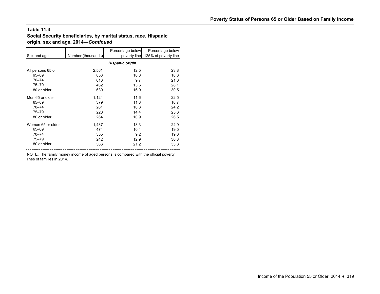#### **Table 11.3Social Security beneficiaries, by marital status, race, Hispanic origin, sex and age, 2014—***Continued*

| Sex and age       | Number (thousands) | Percentage below<br>poverty line | Percentage below<br>125% of poverty line |
|-------------------|--------------------|----------------------------------|------------------------------------------|
|                   |                    | <b>Hispanic origin</b>           |                                          |
| All persons 65 or | 2,561              | 12.5                             | 23.8                                     |
| 65-69             | 853                | 10.8                             | 18.3                                     |
| $70 - 74$         | 616                | 9.7                              | 21.6                                     |
| $75 - 79$         | 462                | 13.6                             | 28.1                                     |
| 80 or older       | 630                | 16.9                             | 30.5                                     |
| Men 65 or older   | 1,124              | 11.6                             | 22.5                                     |
| 65-69             | 379                | 11.3                             | 16.7                                     |
| $70 - 74$         | 261                | 10.3                             | 24.2                                     |
| $75 - 79$         | 220                | 14.4                             | 25.6                                     |
| 80 or older       | 264                | 10.9                             | 26.5                                     |
| Women 65 or older | 1,437              | 13.3                             | 24.9                                     |
| 65-69             | 474                | 10.4                             | 19.5                                     |
| $70 - 74$         | 355                | 9.2                              | 19.6                                     |
| $75 - 79$         | 242                | 12.9                             | 30.3                                     |
| 80 or older       | 366                | 21.2                             | 33.3                                     |

NOTE: The family money income of aged persons is compared with the official poverty lines of families in 2014.